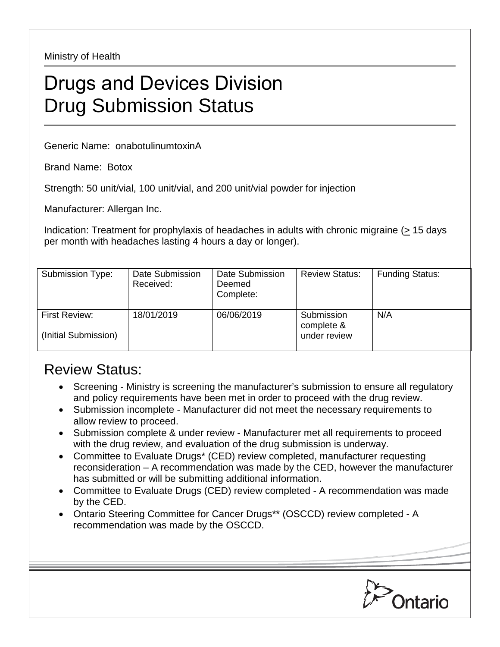Ministry of Health

## Drugs and Devices Division Drug Submission Status

Generic Name: onabotulinumtoxinA

Brand Name: Botox

Strength: 50 unit/vial, 100 unit/vial, and 200 unit/vial powder for injection

Manufacturer: Allergan Inc.

Indication: Treatment for prophylaxis of headaches in adults with chronic migraine (> 15 days per month with headaches lasting 4 hours a day or longer).

| Submission Type:                      | Date Submission<br>Received: | Date Submission<br>Deemed<br>Complete: | <b>Review Status:</b>                    | <b>Funding Status:</b> |
|---------------------------------------|------------------------------|----------------------------------------|------------------------------------------|------------------------|
| First Review:<br>(Initial Submission) | 18/01/2019                   | 06/06/2019                             | Submission<br>complete &<br>under review | N/A                    |

## Review Status:

- Screening Ministry is screening the manufacturer's submission to ensure all regulatory and policy requirements have been met in order to proceed with the drug review.
- Submission incomplete Manufacturer did not meet the necessary requirements to allow review to proceed.
- Submission complete & under review Manufacturer met all requirements to proceed with the drug review, and evaluation of the drug submission is underway.
- Committee to Evaluate Drugs\* (CED) review completed, manufacturer requesting reconsideration – A recommendation was made by the CED, however the manufacturer has submitted or will be submitting additional information.
- Committee to Evaluate Drugs (CED) review completed A recommendation was made by the CED.
- Ontario Steering Committee for Cancer Drugs\*\* (OSCCD) review completed A recommendation was made by the OSCCD.